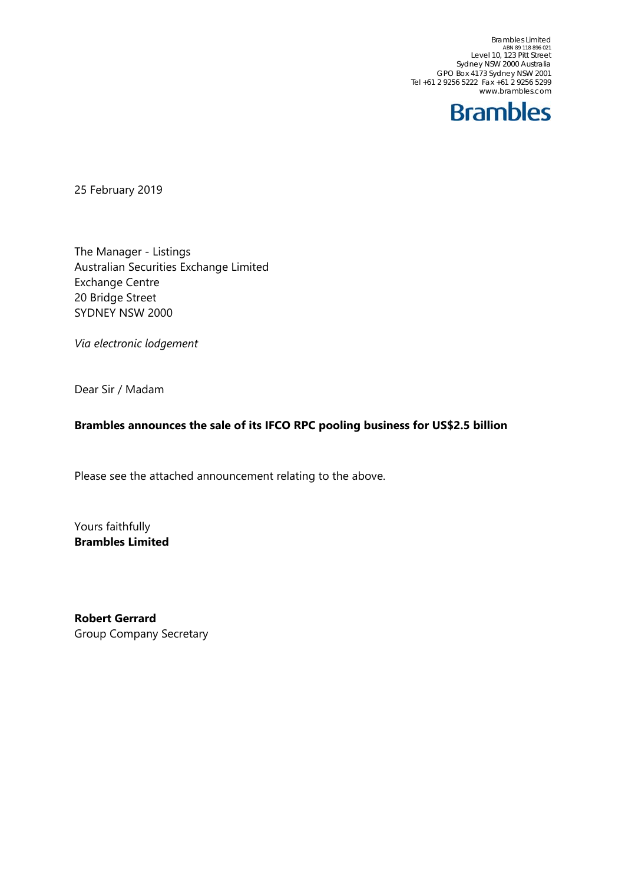Brambles Limited<br>ABN 89 118 896 021<br>Level 10, 123 Pitt Street Sydney NSW 2000 Australia GPO Box 4173 Sydney NSW 2001 Tel +61 2 9256 5222 Fax +61 2 9256 5299 www.brambles.com



25 February 2019

The Manager - Listings Australian Securities Exchange Limited Exchange Centre 20 Bridge Street SYDNEY NSW 2000

*Via electronic lodgement*

Dear Sir / Madam

#### **Brambles announces the sale of its IFCO RPC pooling business for US\$2.5 billion**

Please see the attached announcement relating to the above.

Yours faithfully **Brambles Limited** 

**Robert Gerrard**  Group Company Secretary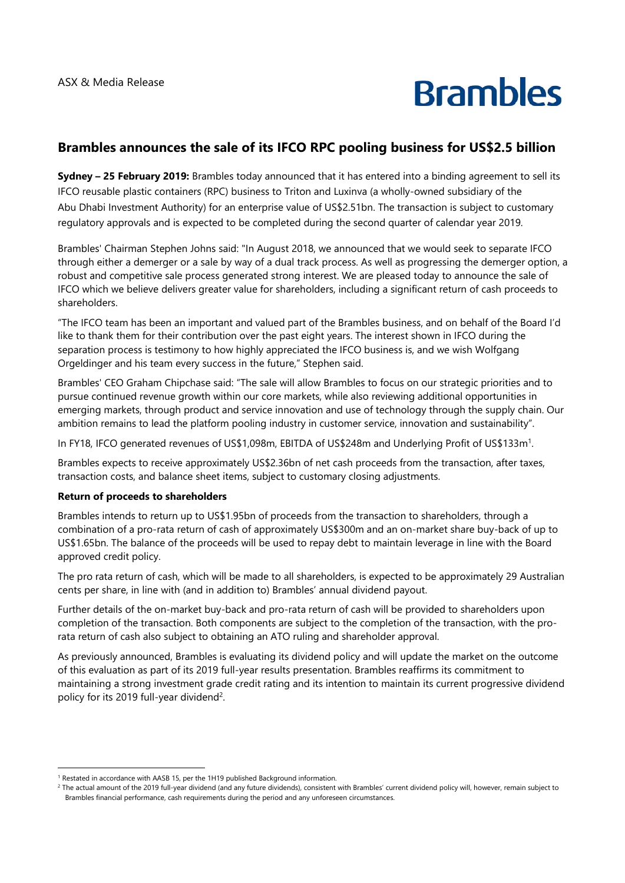# **Brambles**

### **Brambles announces the sale of its IFCO RPC pooling business for US\$2.5 billion**

**Sydney – 25 February 2019:** Brambles today announced that it has entered into a binding agreement to sell its IFCO reusable plastic containers (RPC) business to Triton and Luxinva (a wholly-owned subsidiary of the Abu Dhabi Investment Authority) for an enterprise value of US\$2.51bn. The transaction is subject to customary regulatory approvals and is expected to be completed during the second quarter of calendar year 2019.

Brambles' Chairman Stephen Johns said: "In August 2018, we announced that we would seek to separate IFCO through either a demerger or a sale by way of a dual track process. As well as progressing the demerger option, a robust and competitive sale process generated strong interest. We are pleased today to announce the sale of IFCO which we believe delivers greater value for shareholders, including a significant return of cash proceeds to shareholders.

"The IFCO team has been an important and valued part of the Brambles business, and on behalf of the Board I'd like to thank them for their contribution over the past eight years. The interest shown in IFCO during the separation process is testimony to how highly appreciated the IFCO business is, and we wish Wolfgang Orgeldinger and his team every success in the future," Stephen said.

Brambles' CEO Graham Chipchase said: "The sale will allow Brambles to focus on our strategic priorities and to pursue continued revenue growth within our core markets, while also reviewing additional opportunities in emerging markets, through product and service innovation and use of technology through the supply chain. Our ambition remains to lead the platform pooling industry in customer service, innovation and sustainability".

In FY18, IFCO generated revenues of US\$1,098m, EBITDA of US\$248m and Underlying Profit of US\$133m1.

Brambles expects to receive approximately US\$2.36bn of net cash proceeds from the transaction, after taxes, transaction costs, and balance sheet items, subject to customary closing adjustments.

#### **Return of proceeds to shareholders**

Brambles intends to return up to US\$1.95bn of proceeds from the transaction to shareholders, through a combination of a pro-rata return of cash of approximately US\$300m and an on-market share buy-back of up to US\$1.65bn. The balance of the proceeds will be used to repay debt to maintain leverage in line with the Board approved credit policy.

The pro rata return of cash, which will be made to all shareholders, is expected to be approximately 29 Australian cents per share, in line with (and in addition to) Brambles' annual dividend payout.

Further details of the on-market buy-back and pro-rata return of cash will be provided to shareholders upon completion of the transaction. Both components are subject to the completion of the transaction, with the prorata return of cash also subject to obtaining an ATO ruling and shareholder approval.

As previously announced, Brambles is evaluating its dividend policy and will update the market on the outcome of this evaluation as part of its 2019 full-year results presentation. Brambles reaffirms its commitment to maintaining a strong investment grade credit rating and its intention to maintain its current progressive dividend policy for its 2019 full-year dividend<sup>2</sup>.

<sup>&</sup>lt;sup>1</sup> Restated in accordance with AASB 15, per the 1H19 published Background information.

<sup>&</sup>lt;sup>1</sup> Restated in accordance with AASB 15, per the 1H19 published Background information.<br><sup>2</sup> The actual amount of the 2019 full-year dividend (and any future dividends), consistent with Brambles' current dividend policy wil Brambles financial performance, cash requirements during the period and any unforeseen circumstances.